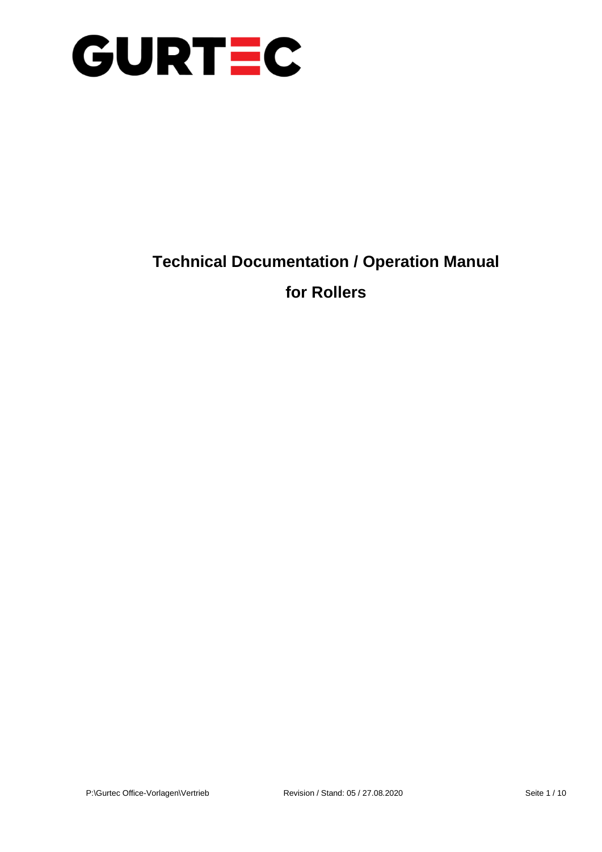

### **Technical Documentation / Operation Manual**

### **for Rollers**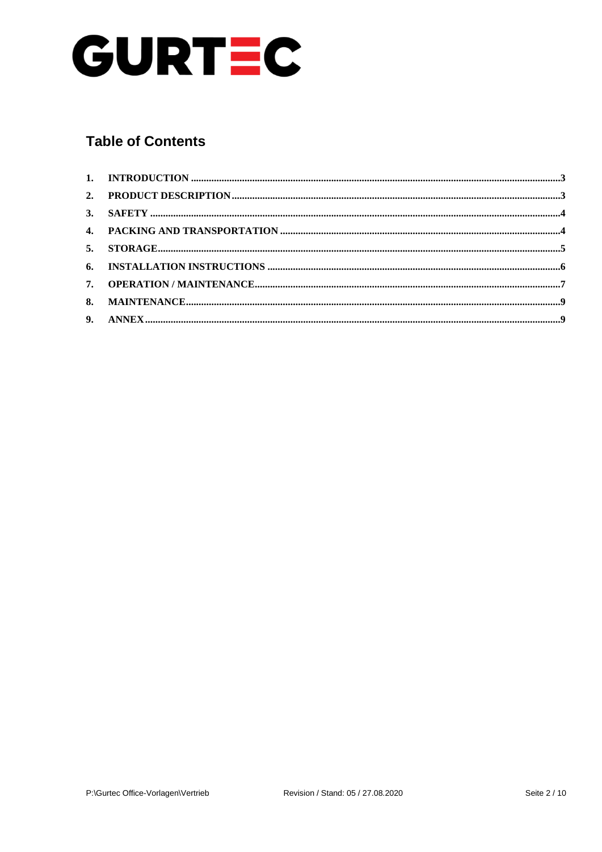

### **Table of Contents**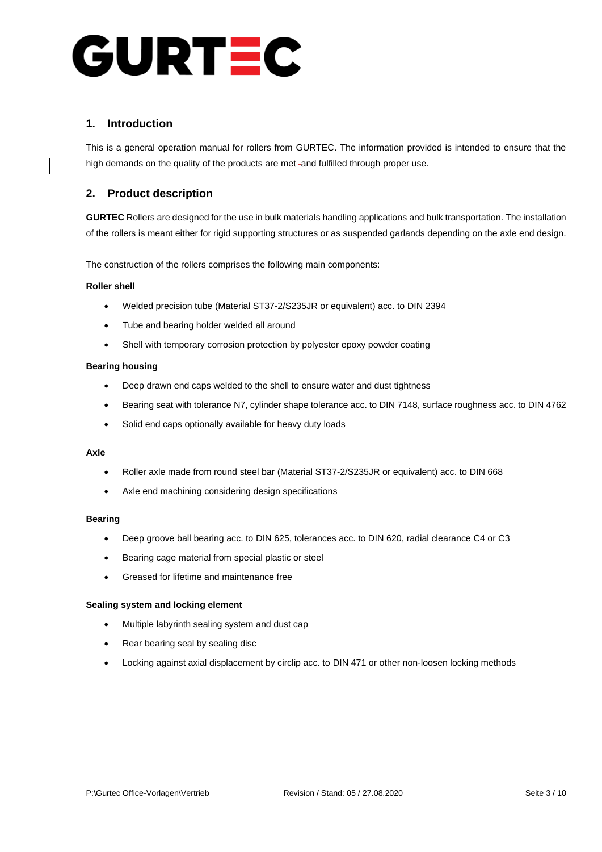# URTEC C

### **1. Introduction**

This is a general operation manual for rollers from GURTEC. The information provided is intended to ensure that the high demands on the quality of the products are met -and fulfilled through proper use.

### **2. Product description**

**GURTEC** Rollers are designed for the use in bulk materials handling applications and bulk transportation. The installation of the rollers is meant either for rigid supporting structures or as suspended garlands depending on the axle end design.

The construction of the rollers comprises the following main components:

### **Roller shell**

- Welded precision tube (Material ST37-2/S235JR or equivalent) acc. to DIN 2394
- Tube and bearing holder welded all around
- Shell with temporary corrosion protection by polyester epoxy powder coating

### **Bearing housing**

- Deep drawn end caps welded to the shell to ensure water and dust tightness
- Bearing seat with tolerance N7, cylinder shape tolerance acc. to DIN 7148, surface roughness acc. to DIN 4762
- Solid end caps optionally available for heavy duty loads

#### **Axle**

- Roller axle made from round steel bar (Material ST37-2/S235JR or equivalent) acc. to DIN 668
- Axle end machining considering design specifications

#### **Bearing**

- Deep groove ball bearing acc. to DIN 625, tolerances acc. to DIN 620, radial clearance C4 or C3
- Bearing cage material from special plastic or steel
- Greased for lifetime and maintenance free

#### **Sealing system and locking element**

- Multiple labyrinth sealing system and dust cap
- Rear bearing seal by sealing disc
- Locking against axial displacement by circlip acc. to DIN 471 or other non-loosen locking methods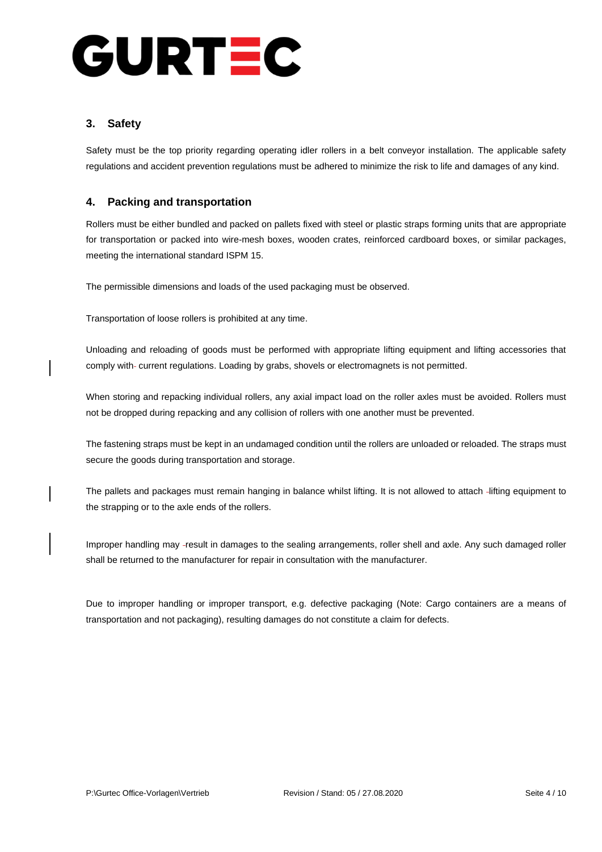# URTEC  $\mathbf{C}$

### **3. Safety**

Safety must be the top priority regarding operating idler rollers in a belt conveyor installation. The applicable safety regulations and accident prevention regulations must be adhered to minimize the risk to life and damages of any kind.

### **4. Packing and transportation**

Rollers must be either bundled and packed on pallets fixed with steel or plastic straps forming units that are appropriate for transportation or packed into wire-mesh boxes, wooden crates, reinforced cardboard boxes, or similar packages, meeting the international standard ISPM 15.

The permissible dimensions and loads of the used packaging must be observed.

Transportation of loose rollers is prohibited at any time.

Unloading and reloading of goods must be performed with appropriate lifting equipment and lifting accessories that comply with- current regulations. Loading by grabs, shovels or electromagnets is not permitted.

When storing and repacking individual rollers, any axial impact load on the roller axles must be avoided. Rollers must not be dropped during repacking and any collision of rollers with one another must be prevented.

The fastening straps must be kept in an undamaged condition until the rollers are unloaded or reloaded. The straps must secure the goods during transportation and storage.

The pallets and packages must remain hanging in balance whilst lifting. It is not allowed to attach -lifting equipment to the strapping or to the axle ends of the rollers.

Improper handling may -result in damages to the sealing arrangements, roller shell and axle. Any such damaged roller shall be returned to the manufacturer for repair in consultation with the manufacturer.

Due to improper handling or improper transport, e.g. defective packaging (Note: Cargo containers are a means of transportation and not packaging), resulting damages do not constitute a claim for defects.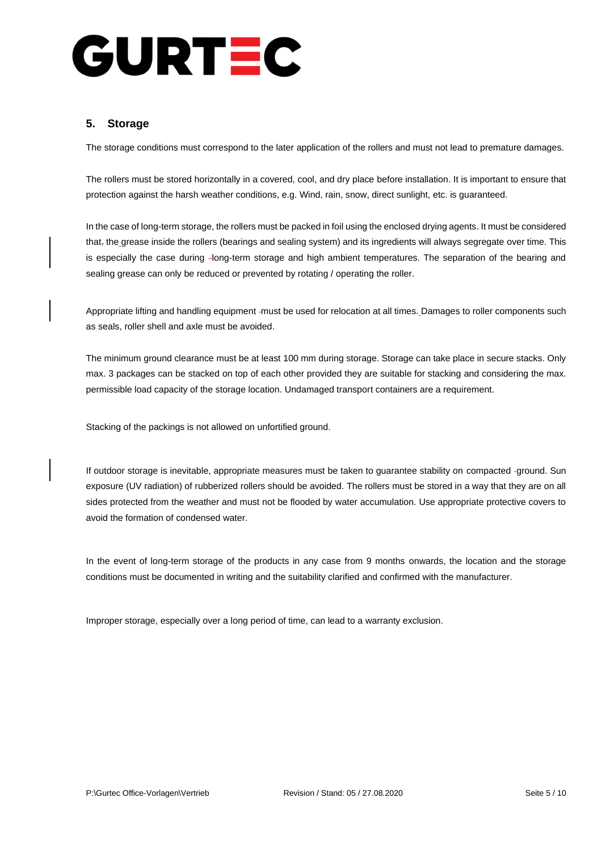# URTEC  $\mathbf{C}$

### **5. Storage**

The storage conditions must correspond to the later application of the rollers and must not lead to premature damages.

The rollers must be stored horizontally in a covered, cool, and dry place before installation. It is important to ensure that protection against the harsh weather conditions, e.g. Wind, rain, snow, direct sunlight, etc. is guaranteed.

In the case of long-term storage, the rollers must be packed in foil using the enclosed drying agents. It must be considered that, the grease inside the rollers (bearings and sealing system) and its ingredients will always segregate over time. This is especially the case during -long-term storage and high ambient temperatures. The separation of the bearing and sealing grease can only be reduced or prevented by rotating / operating the roller.

Appropriate lifting and handling equipment -must be used for relocation at all times. Damages to roller components such as seals, roller shell and axle must be avoided.

The minimum ground clearance must be at least 100 mm during storage. Storage can take place in secure stacks. Only max. 3 packages can be stacked on top of each other provided they are suitable for stacking and considering the max. permissible load capacity of the storage location. Undamaged transport containers are a requirement.

Stacking of the packings is not allowed on unfortified ground.

If outdoor storage is inevitable, appropriate measures must be taken to guarantee stability on compacted -ground. Sun exposure (UV radiation) of rubberized rollers should be avoided. The rollers must be stored in a way that they are on all sides protected from the weather and must not be flooded by water accumulation. Use appropriate protective covers to avoid the formation of condensed water.

In the event of long-term storage of the products in any case from 9 months onwards, the location and the storage conditions must be documented in writing and the suitability clarified and confirmed with the manufacturer.

Improper storage, especially over a long period of time, can lead to a warranty exclusion.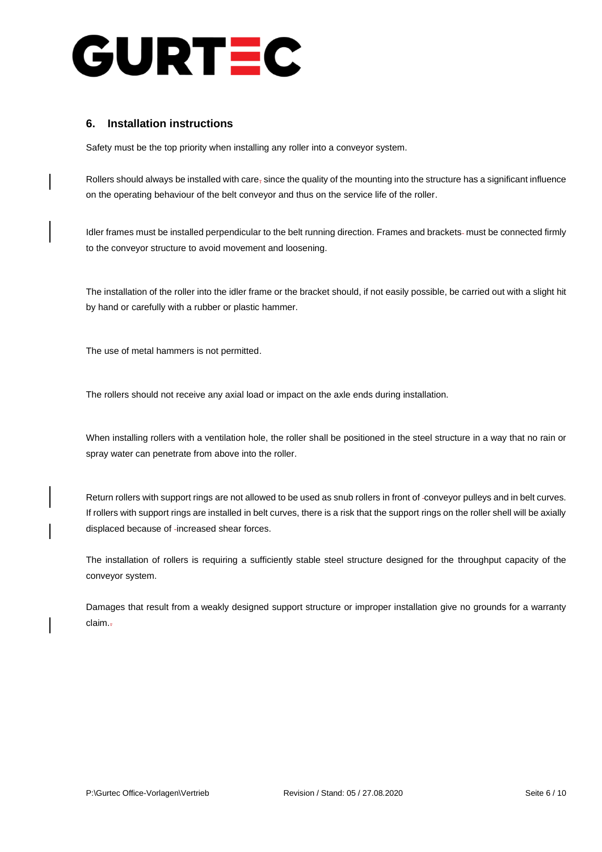

### **6. Installation instructions**

Safety must be the top priority when installing any roller into a conveyor system.

Rollers should always be installed with care<sub>r</sub> since the quality of the mounting into the structure has a significant influence on the operating behaviour of the belt conveyor and thus on the service life of the roller.

Idler frames must be installed perpendicular to the belt running direction. Frames and brackets- must be connected firmly to the conveyor structure to avoid movement and loosening.

The installation of the roller into the idler frame or the bracket should, if not easily possible, be carried out with a slight hit by hand or carefully with a rubber or plastic hammer.

The use of metal hammers is not permitted.

The rollers should not receive any axial load or impact on the axle ends during installation.

When installing rollers with a ventilation hole, the roller shall be positioned in the steel structure in a way that no rain or spray water can penetrate from above into the roller.

Return rollers with support rings are not allowed to be used as snub rollers in front of -conveyor pulleys and in belt curves. If rollers with support rings are installed in belt curves, there is a risk that the support rings on the roller shell will be axially displaced because of -increased shear forces.

The installation of rollers is requiring a sufficiently stable steel structure designed for the throughput capacity of the conveyor system.

Damages that result from a weakly designed support structure or improper installation give no grounds for a warranty claim..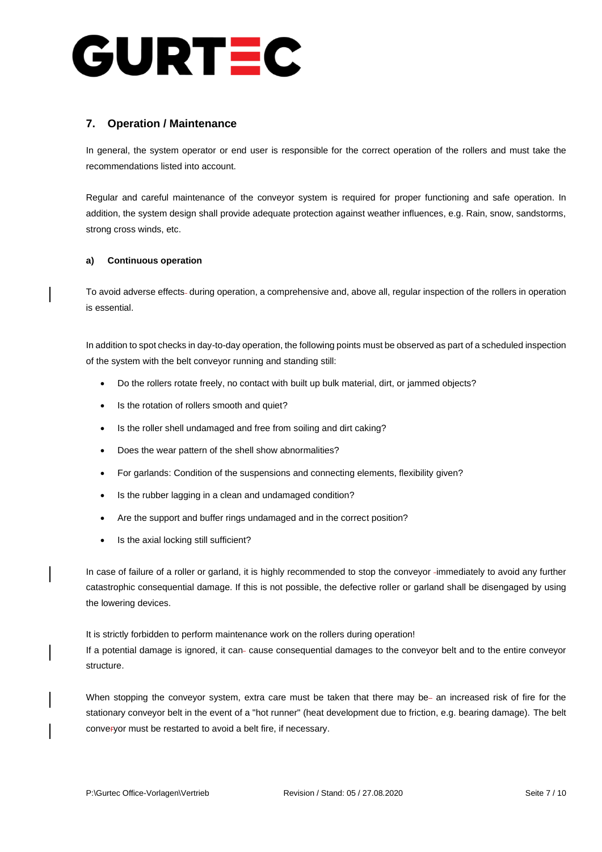

### **7. Operation / Maintenance**

In general, the system operator or end user is responsible for the correct operation of the rollers and must take the recommendations listed into account.

Regular and careful maintenance of the conveyor system is required for proper functioning and safe operation. In addition, the system design shall provide adequate protection against weather influences, e.g. Rain, snow, sandstorms, strong cross winds, etc.

### **a) Continuous operation**

To avoid adverse effects-during operation, a comprehensive and, above all, regular inspection of the rollers in operation is essential.

In addition to spot checks in day-to-day operation, the following points must be observed as part of a scheduled inspection of the system with the belt conveyor running and standing still:

- Do the rollers rotate freely, no contact with built up bulk material, dirt, or jammed objects?
- Is the rotation of rollers smooth and quiet?
- Is the roller shell undamaged and free from soiling and dirt caking?
- Does the wear pattern of the shell show abnormalities?
- For garlands: Condition of the suspensions and connecting elements, flexibility given?
- Is the rubber lagging in a clean and undamaged condition?
- Are the support and buffer rings undamaged and in the correct position?
- Is the axial locking still sufficient?

In case of failure of a roller or garland, it is highly recommended to stop the conveyor -immediately to avoid any further catastrophic consequential damage. If this is not possible, the defective roller or garland shall be disengaged by using the lowering devices.

It is strictly forbidden to perform maintenance work on the rollers during operation!

If a potential damage is ignored, it can-cause consequential damages to the conveyor belt and to the entire conveyor structure.

When stopping the conveyor system, extra care must be taken that there may be- an increased risk of fire for the stationary conveyor belt in the event of a "hot runner" (heat development due to friction, e.g. bearing damage). The belt converyor must be restarted to avoid a belt fire, if necessary.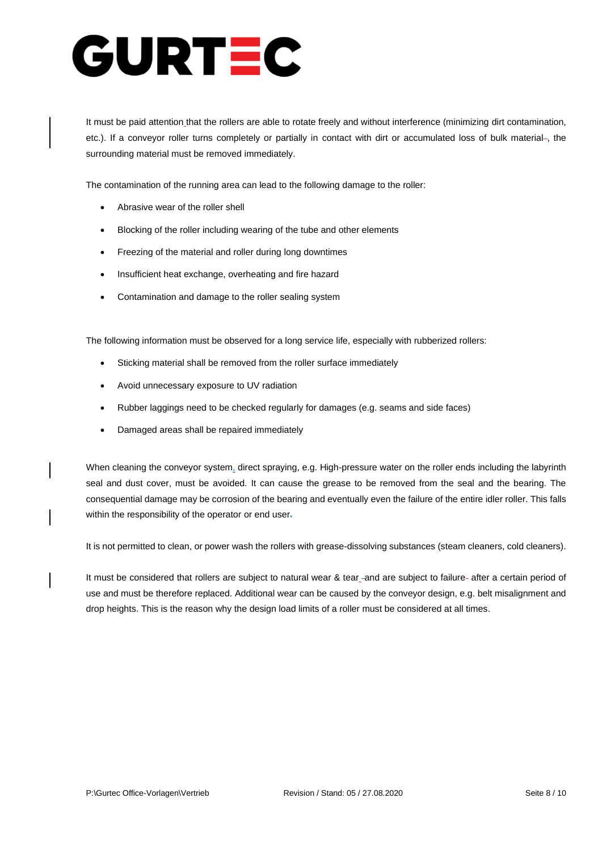# URTEC

It must be paid attention that the rollers are able to rotate freely and without interference (minimizing dirt contamination, etc.). If a conveyor roller turns completely or partially in contact with dirt or accumulated loss of bulk material-, the surrounding material must be removed immediately.

The contamination of the running area can lead to the following damage to the roller:

- Abrasive wear of the roller shell
- Blocking of the roller including wearing of the tube and other elements
- Freezing of the material and roller during long downtimes
- Insufficient heat exchange, overheating and fire hazard
- Contamination and damage to the roller sealing system

The following information must be observed for a long service life, especially with rubberized rollers:

- Sticking material shall be removed from the roller surface immediately
- Avoid unnecessary exposure to UV radiation
- Rubber laggings need to be checked regularly for damages (e.g. seams and side faces)
- Damaged areas shall be repaired immediately

When cleaning the conveyor system, direct spraying, e.g. High-pressure water on the roller ends including the labyrinth seal and dust cover, must be avoided. It can cause the grease to be removed from the seal and the bearing. The consequential damage may be corrosion of the bearing and eventually even the failure of the entire idler roller. This falls within the responsibility of the operator or end user-

It is not permitted to clean, or power wash the rollers with grease-dissolving substances (steam cleaners, cold cleaners).

It must be considered that rollers are subject to natural wear & tear\_-and are subject to failure- after a certain period of use and must be therefore replaced. Additional wear can be caused by the conveyor design, e.g. belt misalignment and drop heights. This is the reason why the design load limits of a roller must be considered at all times.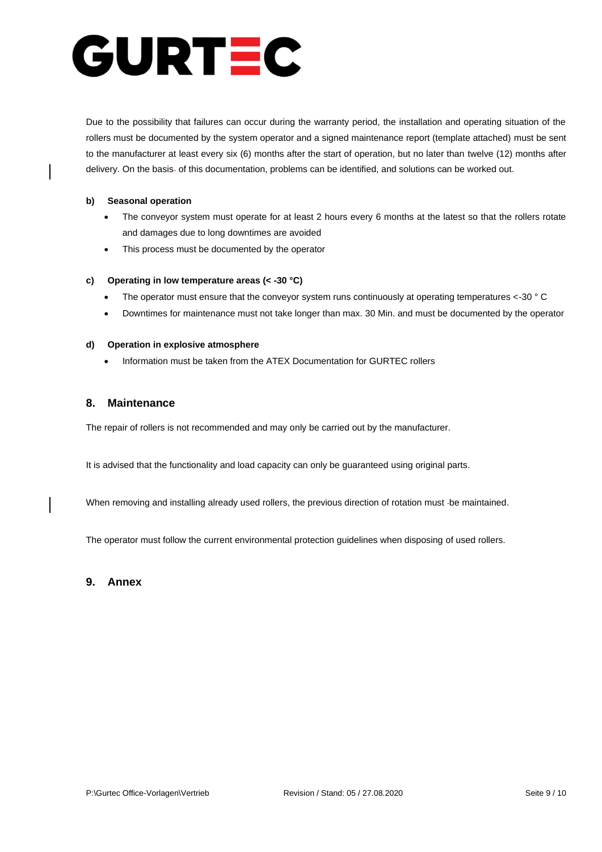# URTEC C

Due to the possibility that failures can occur during the warranty period, the installation and operating situation of the rollers must be documented by the system operator and a signed maintenance report (template attached) must be sent to the manufacturer at least every six (6) months after the start of operation, but no later than twelve (12) months after delivery. On the basis- of this documentation, problems can be identified, and solutions can be worked out.

### **b) Seasonal operation**

- The conveyor system must operate for at least 2 hours every 6 months at the latest so that the rollers rotate and damages due to long downtimes are avoided
- This process must be documented by the operator

### **c) Operating in low temperature areas (< -30 °C)**

- The operator must ensure that the conveyor system runs continuously at operating temperatures <-30 ° C
- Downtimes for maintenance must not take longer than max. 30 Min. and must be documented by the operator

### **d) Operation in explosive atmosphere**

• Information must be taken from the ATEX Documentation for GURTEC rollers

### **8. Maintenance**

The repair of rollers is not recommended and may only be carried out by the manufacturer.

It is advised that the functionality and load capacity can only be guaranteed using original parts.

When removing and installing already used rollers, the previous direction of rotation must be maintained.

The operator must follow the current environmental protection guidelines when disposing of used rollers.

### **9. Annex**